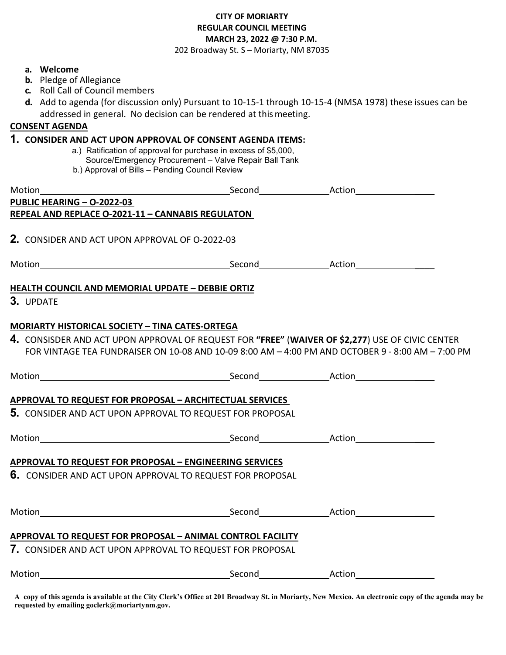## **CITY OF MORIARTY REGULAR COUNCIL MEETING MARCH 23, 2022 @ 7:30 P.M.**

202 Broadway St. S – Moriarty, NM 87035

## **a. Welcome**

- **b.** Pledge of Allegiance
- **c.** Roll Call of Council members
- **d.** Add to agenda (for discussion only) Pursuant to 10-15-1 through 10-15-4 (NMSA 1978) these issues can be addressed in general. No decision can be rendered at thismeeting.

## **CONSENT AGENDA**

## **1. CONSIDER AND ACT UPON APPROVAL OF CONSENT AGENDA ITEMS:**

- a.) Ratification of approval for purchase in excess of \$5,000, Source/Emergency Procurement – Valve Repair Ball Tank
- b.) Approval of Bills Pending Council Review

| <b>PUBLIC HEARING - O-2022-03</b>                        |                                                                 |                                                                                                   |
|----------------------------------------------------------|-----------------------------------------------------------------|---------------------------------------------------------------------------------------------------|
| REPEAL AND REPLACE O-2021-11 - CANNABIS REGULATON        |                                                                 |                                                                                                   |
| 2. CONSIDER AND ACT UPON APPROVAL OF 0-2022-03           |                                                                 |                                                                                                   |
|                                                          |                                                                 |                                                                                                   |
|                                                          |                                                                 |                                                                                                   |
| <b>HEALTH COUNCIL AND MEMORIAL UPDATE - DEBBIE ORTIZ</b> |                                                                 |                                                                                                   |
| 3. UPDATE                                                |                                                                 |                                                                                                   |
| <b>MORIARTY HISTORICAL SOCIETY - TINA CATES-ORTEGA</b>   |                                                                 |                                                                                                   |
|                                                          |                                                                 | 4. CONSISDER AND ACT UPON APPROVAL OF REQUEST FOR "FREE" (WAIVER OF \$2,277) USE OF CIVIC CENTER  |
|                                                          |                                                                 | FOR VINTAGE TEA FUNDRAISER ON 10-08 AND 10-09 8:00 AM - 4:00 PM AND OCTOBER 9 - 8:00 AM - 7:00 PM |
|                                                          |                                                                 |                                                                                                   |
|                                                          |                                                                 |                                                                                                   |
|                                                          | <b>APPROVAL TO REQUEST FOR PROPOSAL - ARCHITECTUAL SERVICES</b> |                                                                                                   |
|                                                          | 5. CONSIDER AND ACT UPON APPROVAL TO REQUEST FOR PROPOSAL       |                                                                                                   |
|                                                          |                                                                 |                                                                                                   |
|                                                          | APPROVAL TO REQUEST FOR PROPOSAL - ENGINEERING SERVICES         |                                                                                                   |
|                                                          | 6. CONSIDER AND ACT UPON APPROVAL TO REQUEST FOR PROPOSAL       |                                                                                                   |
|                                                          |                                                                 |                                                                                                   |
|                                                          |                                                                 |                                                                                                   |
|                                                          | APPROVAL TO REQUEST FOR PROPOSAL - ANIMAL CONTROL FACILITY      |                                                                                                   |
|                                                          | 7. CONSIDER AND ACT UPON APPROVAL TO REQUEST FOR PROPOSAL       |                                                                                                   |
| Motion                                                   |                                                                 |                                                                                                   |

**A copy of this agenda is available at the City Clerk's Office at 201 Broadway St. in Moriarty, New Mexico. An electronic copy of the agenda may be requested by emailing goclerk@moriartynm.gov.**